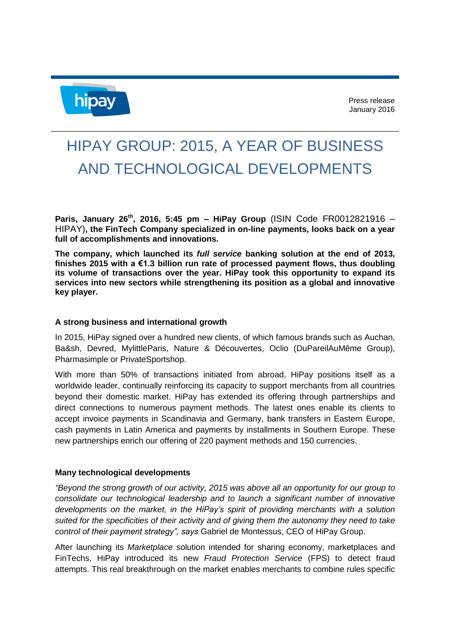

## HIPAY GROUP: 2015, A YEAR OF BUSINESS AND TECHNOLOGICAL DEVELOPMENTS

**Paris, January 26th, 2016, 5:45 pm – HiPay Group** (ISIN Code FR0012821916 – HIPAY)**, the FinTech Company specialized in on-line payments, looks back on a year full of accomplishments and innovations.**

**The company, which launched its** *full service* **banking solution at the end of 2013, finishes 2015 with a €1.3 billion run rate of processed payment flows, thus doubling its volume of transactions over the year. HiPay took this opportunity to expand its services into new sectors while strengthening its position as a global and innovative key player.**

## **A strong business and international growth**

In 2015, HiPay signed over a hundred new clients, of which famous brands such as Auchan, Ba&sh, Devred, MylittleParis, Nature & Découvertes, Oclio (DuPareilAuMême Group), Pharmasimple or PrivateSportshop.

With more than 50% of transactions initiated from abroad, HiPay positions itself as a worldwide leader, continually reinforcing its capacity to support merchants from all countries beyond their domestic market. HiPay has extended its offering through partnerships and direct connections to numerous payment methods. The latest ones enable its clients to accept invoice payments in Scandinavia and Germany, bank transfers in Eastern Europe, cash payments in Latin America and payments by installments in Southern Europe. These new partnerships enrich our offering of 220 payment methods and 150 currencies.

## **Many technological developments**

*"Beyond the strong growth of our activity, 2015 was above all an opportunity for our group to consolidate our technological leadership and to launch a significant number of innovative developments on the market, in the HiPay's spirit of providing merchants with a solution suited for the specificities of their activity and of giving them the autonomy they need to take control of their payment strategy", says* Gabriel de Montessus, CEO of HiPay Group.

After launching its *Marketplace* solution intended for sharing economy, marketplaces and FinTechs, HiPay introduced its new *Fraud Protection Service* (FPS) to detect fraud attempts. This real breakthrough on the market enables merchants to combine rules specific